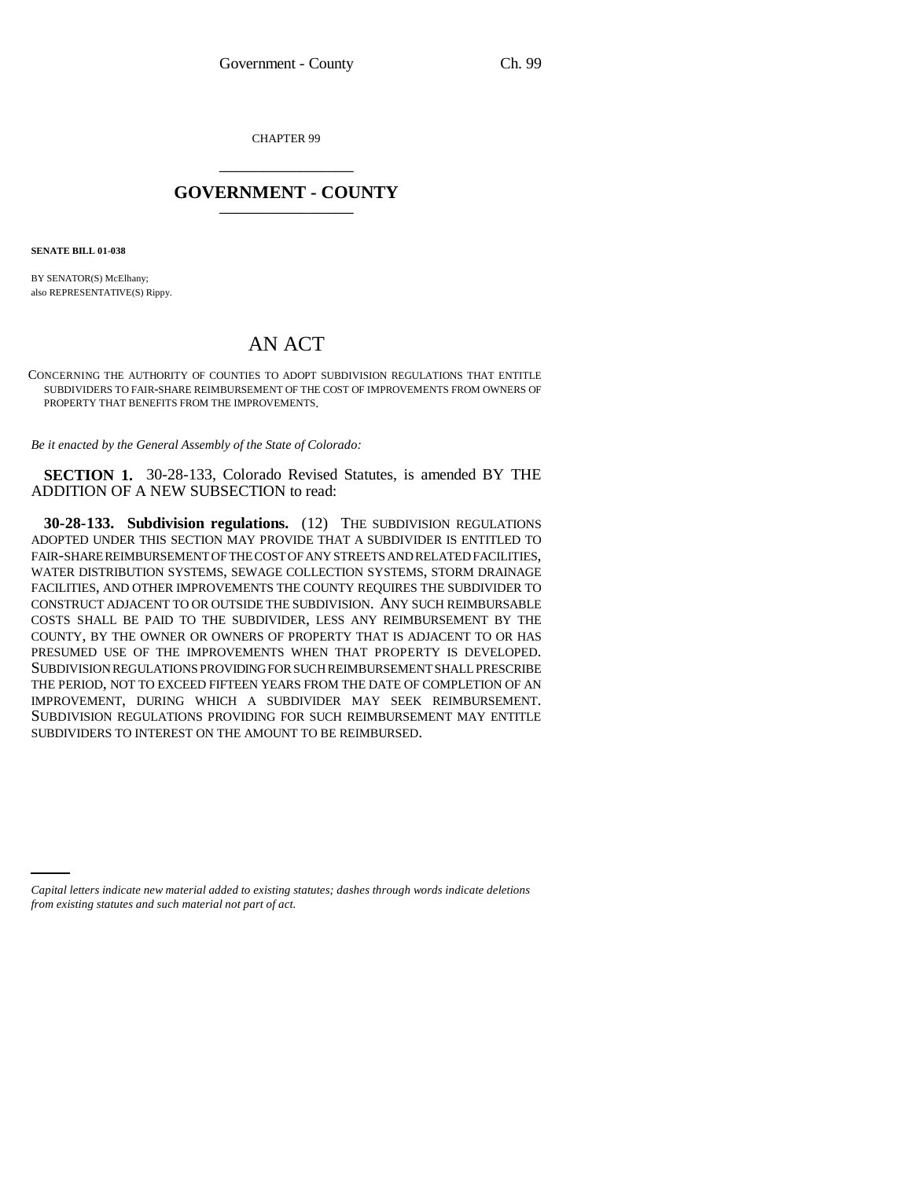CHAPTER 99 \_\_\_\_\_\_\_\_\_\_\_\_\_\_\_

## **GOVERNMENT - COUNTY** \_\_\_\_\_\_\_\_\_\_\_\_\_\_\_

**SENATE BILL 01-038**

BY SENATOR(S) McElhany; also REPRESENTATIVE(S) Rippy.

## AN ACT

CONCERNING THE AUTHORITY OF COUNTIES TO ADOPT SUBDIVISION REGULATIONS THAT ENTITLE SUBDIVIDERS TO FAIR-SHARE REIMBURSEMENT OF THE COST OF IMPROVEMENTS FROM OWNERS OF PROPERTY THAT BENEFITS FROM THE IMPROVEMENTS.

*Be it enacted by the General Assembly of the State of Colorado:*

**SECTION 1.** 30-28-133, Colorado Revised Statutes, is amended BY THE ADDITION OF A NEW SUBSECTION to read:

**30-28-133. Subdivision regulations.** (12) THE SUBDIVISION REGULATIONS ADOPTED UNDER THIS SECTION MAY PROVIDE THAT A SUBDIVIDER IS ENTITLED TO FAIR-SHARE REIMBURSEMENT OF THE COST OF ANY STREETS AND RELATED FACILITIES, WATER DISTRIBUTION SYSTEMS, SEWAGE COLLECTION SYSTEMS, STORM DRAINAGE FACILITIES, AND OTHER IMPROVEMENTS THE COUNTY REQUIRES THE SUBDIVIDER TO CONSTRUCT ADJACENT TO OR OUTSIDE THE SUBDIVISION. ANY SUCH REIMBURSABLE COSTS SHALL BE PAID TO THE SUBDIVIDER, LESS ANY REIMBURSEMENT BY THE COUNTY, BY THE OWNER OR OWNERS OF PROPERTY THAT IS ADJACENT TO OR HAS PRESUMED USE OF THE IMPROVEMENTS WHEN THAT PROPERTY IS DEVELOPED. SUBDIVISION REGULATIONS PROVIDING FOR SUCH REIMBURSEMENT SHALL PRESCRIBE THE PERIOD, NOT TO EXCEED FIFTEEN YEARS FROM THE DATE OF COMPLETION OF AN IMPROVEMENT, DURING WHICH A SUBDIVIDER MAY SEEK REIMBURSEMENT. SUBDIVISION REGULATIONS PROVIDING FOR SUCH REIMBURSEMENT MAY ENTITLE SUBDIVIDERS TO INTEREST ON THE AMOUNT TO BE REIMBURSED.

*Capital letters indicate new material added to existing statutes; dashes through words indicate deletions from existing statutes and such material not part of act.*